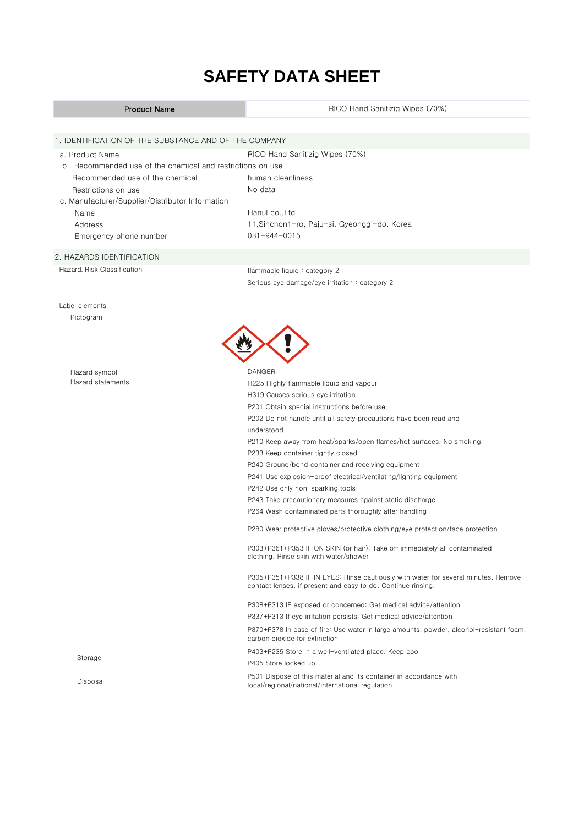Xerox SDS No. I-90030 Xerox Part No. 008R08138 Engineering No. 607E36840

# **SAFETY DATA SHEET**

## Product Name a. Product Name Recommended use of the chemical Restrictions on use Name Address Emergency phone number Hazard symbol P501 Dispose of this material and its container in accordance with<br>  $\frac{1}{2}$  local/regional/actional/interactional regulation local/regional/national/international regulation P305+P351+P338 IF IN EYES: Rinse cautiously with water for several minutes. Remove contact lenses, if present and easy to do. Continue rinsing. P308+P313 IF exposed or concerned: Get medical advice/attention P337+P313 If eye irritation persists: Get medical advice/attention P370+P378 In case of fire: Use water in large amounts, powder, alcohol-resistant foam, carbon dioxide for extinction Storage P403+P235 Store in a well-ventilated place. Keep cool P405 Store locked up P241 Use explosion-proof electrical/ventilating/lighting equipment P242 Use only non-sparking tools P243 Take precautionary measures against static discharge P264 Wash contaminated parts thoroughly after handling P280 Wear protective gloves/protective clothing/eye protection/face protection P303+P361+P353 IF ON SKIN (or hair): Take off immediately all contaminated clothing. Rinse skin with water/shower DANGER Hazard statements H225 Highly flammable liquid and vapour H319 Causes serious eye irritation P201 Obtain special instructions before use. P202 Do not handle until all safety precautions have been read and understood. P210 Keep away from heat/sparks/open flames/hot surfaces. No smoking. P233 Keep container tightly closed P240 Ground/bond container and receiving equipment Hazard. Risk Classification **flammable liquid : category 2** Serious eye damage/eye irritation : category 2 Label elements Pictogram No data c. Manufacturer/Supplier/Distributor Information Hanul co., Ltd. 11,Sinchon1-ro, Paju-si, Gyeonggi-do, Korea 031-944-0015 2. HAZARDS IDENTIFICATION RICO Hand Sanitizig Wipes (70%) 1. IDENTIFICATION OF THE SUBSTANCE AND OF THE COMPANY RICO Hand Sanitizig Wipes (70%) b. Recommended use of the chemical and restrictions on use human cleanliness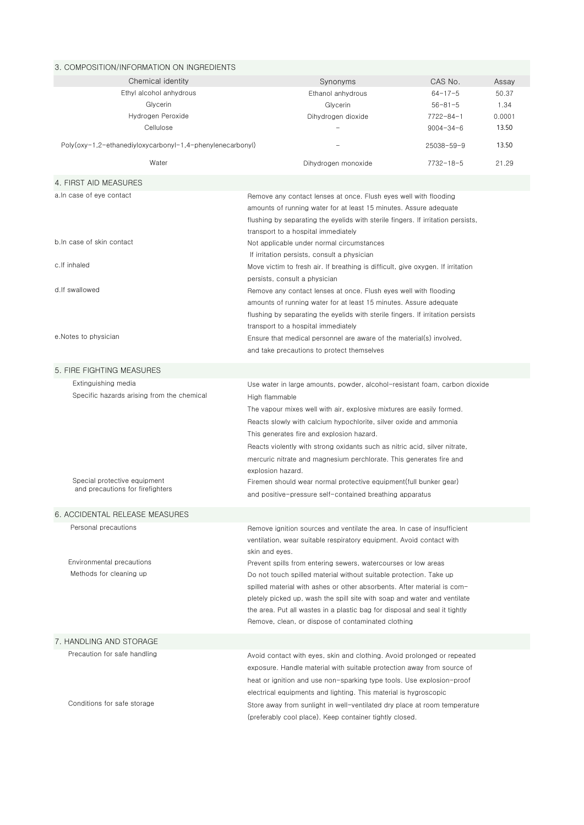| 3. COMPOSITION/INFORMATION ON INGREDIENTS                 |                                                                                                                                                                                                                                                                  |                  |        |
|-----------------------------------------------------------|------------------------------------------------------------------------------------------------------------------------------------------------------------------------------------------------------------------------------------------------------------------|------------------|--------|
| Chemical identity                                         | Synonyms                                                                                                                                                                                                                                                         | CAS No.          | Assay  |
| Ethyl alcohol anhydrous                                   | Ethanol anhydrous                                                                                                                                                                                                                                                | $64 - 17 - 5$    | 50.37  |
| Glycerin                                                  | Glycerin                                                                                                                                                                                                                                                         | $56 - 81 - 5$    | 1.34   |
| Hydrogen Peroxide                                         | Dihydrogen dioxide                                                                                                                                                                                                                                               | $7722 - 84 - 1$  | 0.0001 |
| Cellulose                                                 |                                                                                                                                                                                                                                                                  | $9004 - 34 - 6$  | 13.50  |
| Poly(oxy-1,2-ethanediyloxycarbonyl-1,4-phenylenecarbonyl) |                                                                                                                                                                                                                                                                  | $25038 - 59 - 9$ | 13.50  |
| Water                                                     | Dihydrogen monoxide                                                                                                                                                                                                                                              | $7732 - 18 - 5$  | 21.29  |
| 4. FIRST AID MEASURES                                     |                                                                                                                                                                                                                                                                  |                  |        |
| a. In case of eye contact                                 | Remove any contact lenses at once. Flush eyes well with flooding<br>amounts of running water for at least 15 minutes. Assure adequate<br>flushing by separating the eyelids with sterile fingers. If irritation persists,<br>transport to a hospital immediately |                  |        |
| b. In case of skin contact                                | Not applicable under normal circumstances<br>If irritation persists, consult a physician                                                                                                                                                                         |                  |        |
| c.lf inhaled                                              | Move victim to fresh air. If breathing is difficult, give oxygen. If irritation                                                                                                                                                                                  |                  |        |
| d.lf swallowed                                            | persists, consult a physician<br>Remove any contact lenses at once. Flush eyes well with flooding                                                                                                                                                                |                  |        |
|                                                           | amounts of running water for at least 15 minutes. Assure adequate                                                                                                                                                                                                |                  |        |
|                                                           | flushing by separating the eyelids with sterile fingers. If irritation persists<br>transport to a hospital immediately                                                                                                                                           |                  |        |
| e.Notes to physician                                      | Ensure that medical personnel are aware of the material(s) involved,                                                                                                                                                                                             |                  |        |
|                                                           | and take precautions to protect themselves                                                                                                                                                                                                                       |                  |        |
|                                                           |                                                                                                                                                                                                                                                                  |                  |        |
| 5. FIRE FIGHTING MEASURES                                 |                                                                                                                                                                                                                                                                  |                  |        |
| Extinguishing media                                       | Use water in large amounts, powder, alcohol-resistant foam, carbon dioxide                                                                                                                                                                                       |                  |        |
| Specific hazards arising from the chemical                | High flammable                                                                                                                                                                                                                                                   |                  |        |
|                                                           | The vapour mixes well with air, explosive mixtures are easily formed.                                                                                                                                                                                            |                  |        |
|                                                           | Reacts slowly with calcium hypochlorite, silver oxide and ammonia                                                                                                                                                                                                |                  |        |
|                                                           | This generates fire and explosion hazard.                                                                                                                                                                                                                        |                  |        |
|                                                           | Reacts violently with strong oxidants such as nitric acid, silver nitrate,                                                                                                                                                                                       |                  |        |
|                                                           | mercuric nitrate and magnesium perchlorate. This generates fire and<br>explosion hazard.                                                                                                                                                                         |                  |        |
| Special protective equipment                              | Firemen should wear normal protective equipment(full bunker gear)                                                                                                                                                                                                |                  |        |
| and precautions for firefighters                          | and positive-pressure self-contained breathing apparatus                                                                                                                                                                                                         |                  |        |
|                                                           |                                                                                                                                                                                                                                                                  |                  |        |
| 6. ACCIDENTAL RELEASE MEASURES                            |                                                                                                                                                                                                                                                                  |                  |        |
| Personal precautions                                      | Remove ignition sources and ventilate the area. In case of insufficient<br>ventilation, wear suitable respiratory equipment. Avoid contact with<br>skin and eyes.                                                                                                |                  |        |
| Environmental precautions                                 | Prevent spills from entering sewers, watercourses or low areas                                                                                                                                                                                                   |                  |        |
| Methods for cleaning up                                   | Do not touch spilled material without suitable protection. Take up                                                                                                                                                                                               |                  |        |
|                                                           | spilled material with ashes or other absorbents. After material is com-                                                                                                                                                                                          |                  |        |
|                                                           | pletely picked up, wash the spill site with soap and water and ventilate                                                                                                                                                                                         |                  |        |
|                                                           | the area. Put all wastes in a plastic bag for disposal and seal it tightly                                                                                                                                                                                       |                  |        |
|                                                           | Remove, clean, or dispose of contaminated clothing                                                                                                                                                                                                               |                  |        |
| 7. HANDLING AND STORAGE                                   |                                                                                                                                                                                                                                                                  |                  |        |
| Precaution for safe handling                              | Avoid contact with eyes, skin and clothing. Avoid prolonged or repeated                                                                                                                                                                                          |                  |        |
|                                                           | exposure. Handle material with suitable protection away from source of                                                                                                                                                                                           |                  |        |
|                                                           | heat or ignition and use non-sparking type tools. Use explosion-proof                                                                                                                                                                                            |                  |        |
|                                                           | electrical equipments and lighting. This material is hygroscopic                                                                                                                                                                                                 |                  |        |
| Conditions for safe storage                               | Store away from sunlight in well-ventilated dry place at room temperature                                                                                                                                                                                        |                  |        |
|                                                           | (preferably cool place). Keep container tightly closed.                                                                                                                                                                                                          |                  |        |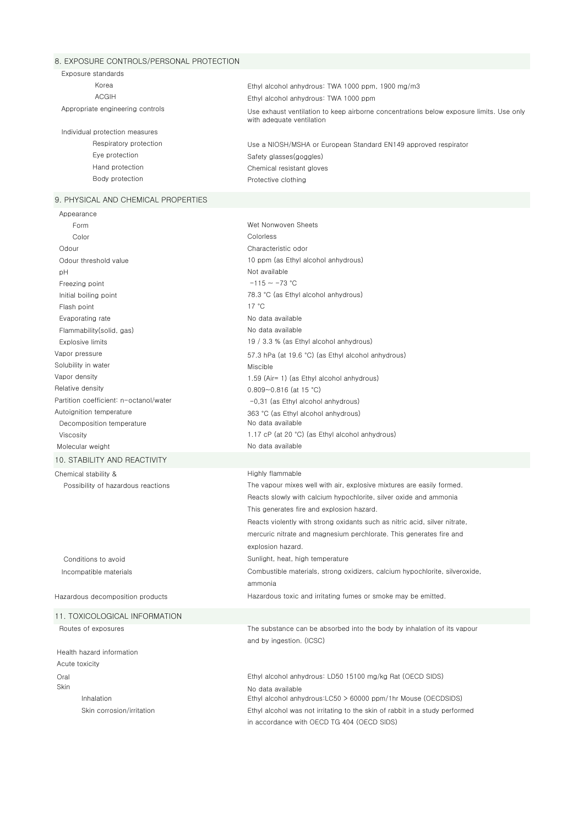#### 8. EXPOSURE CONTROLS/PERSONAL PROTECTION

| Exposure standards               |                                                                                                                      |
|----------------------------------|----------------------------------------------------------------------------------------------------------------------|
| Korea                            | Ethyl alcohol anhydrous: TWA 1000 ppm, 1900 mg/m3                                                                    |
| <b>ACGIH</b>                     | Ethyl alcohol anhydrous: TWA 1000 ppm                                                                                |
| Appropriate engineering controls | Use exhaust ventilation to keep airborne concentrations below exposure limits. Use only<br>with adequate ventilation |
| Individual protection measures   |                                                                                                                      |
| Respiratory protection           | Use a NIOSH/MSHA or European Standard EN149 approved respirator                                                      |
| Eve protection                   | Safety glasses (goggles)                                                                                             |
| Hand protection                  | Chemical resistant gloves                                                                                            |
| Body protection                  | Protective clothing                                                                                                  |
|                                  |                                                                                                                      |

### 9. PHYSICAL AND CHEMICAL PROPERTIES

| Appearance                             |                                                                             |
|----------------------------------------|-----------------------------------------------------------------------------|
| Form                                   | Wet Nonwoven Sheets                                                         |
| Color                                  | Colorless                                                                   |
| Odour                                  | Characteristic odor                                                         |
| Odour threshold value                  | 10 ppm (as Ethyl alcohol anhydrous)                                         |
| рH                                     | Not available                                                               |
| Freezing point                         | $-115 \sim -73$ °C                                                          |
| Initial boiling point                  | 78.3 °C (as Ethyl alcohol anhydrous)                                        |
| Flash point                            | 17 °C                                                                       |
| Evaporating rate                       | No data available                                                           |
| Flammability (solid, gas)              | No data available                                                           |
| <b>Explosive limits</b>                | 19 / 3.3 % (as Ethyl alcohol anhydrous)                                     |
| Vapor pressure                         | 57.3 hPa (at 19.6 °C) (as Ethyl alcohol anhydrous)                          |
| Solubility in water                    | Miscible                                                                    |
| Vapor density                          | 1.59 (Air= 1) (as Ethyl alcohol anhydrous)                                  |
| Relative density                       | $0.809 - 0.816$ (at 15 °C)                                                  |
| Partition coefficient: n-octanol/water | $-0.31$ (as Ethyl alcohol anhydrous)                                        |
| Autoignition temperature               | 363 °C (as Ethyl alcohol anhydrous)                                         |
| Decomposition temperature              | No data available                                                           |
| Viscosity                              | 1.17 cP (at 20 °C) (as Ethyl alcohol anhydrous)                             |
| Molecular weight                       | No data available                                                           |
| 10. STABILITY AND REACTIVITY           |                                                                             |
| Chemical stability &                   | Highly flammable                                                            |
| Possibility of hazardous reactions     | The vapour mixes well with air, explosive mixtures are easily formed.       |
|                                        | Reacts slowly with calcium hypochlorite, silver oxide and ammonia           |
|                                        | This generates fire and explosion hazard.                                   |
|                                        | Reacts violently with strong oxidants such as nitric acid, silver nitrate,  |
|                                        | mercuric nitrate and magnesium perchlorate. This generates fire and         |
|                                        | explosion hazard.                                                           |
| Conditions to avoid                    | Sunlight, heat, high temperature                                            |
|                                        |                                                                             |
| Incompatible materials                 | Combustible materials, strong oxidizers, calcium hypochlorite, silveroxide, |
|                                        | ammonia                                                                     |
| Hazardous decomposition products       | Hazardous toxic and irritating fumes or smoke may be emitted.               |
| 11. TOXICOLOGICAL INFORMATION          |                                                                             |
| Routes of exposures                    | The substance can be absorbed into the body by inhalation of its vapour     |
|                                        | and by ingestion. (ICSC)                                                    |
| Health hazard information              |                                                                             |
| Acute toxicity                         |                                                                             |
| Oral                                   | Ethyl alcohol anhydrous: LD50 15100 mg/kg Rat (OECD SIDS)                   |
| Skin                                   | No data available                                                           |
| Inhalation                             | Ethyl alcohol anhydrous: $LC50 > 60000$ ppm/1hr Mouse (OECDSIDS)            |
| Skin corrosion/irritation              | Ethyl alcohol was not irritating to the skin of rabbit in a study performed |
|                                        | in accordance with OECD TG 404 (OECD SIDS)                                  |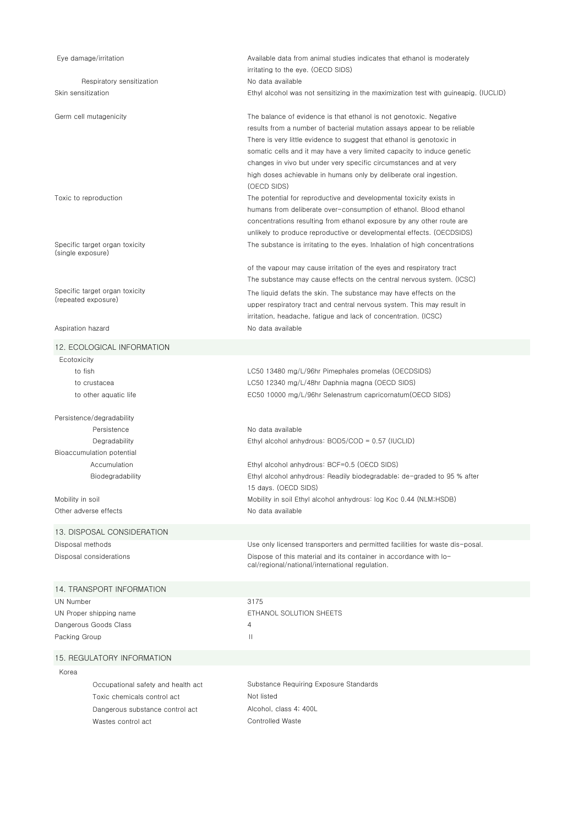| Eye damage/irritation                                                                                                      | Available data from animal studies indicates that ethanol is moderately<br>irritating to the eye. (OECD SIDS)                                                                                                                                                                                                                                                                                                                                                |
|----------------------------------------------------------------------------------------------------------------------------|--------------------------------------------------------------------------------------------------------------------------------------------------------------------------------------------------------------------------------------------------------------------------------------------------------------------------------------------------------------------------------------------------------------------------------------------------------------|
| Respiratory sensitization<br>Skin sensitization                                                                            | No data available<br>Ethyl alcohol was not sensitizing in the maximization test with guineapig. (IUCLID)                                                                                                                                                                                                                                                                                                                                                     |
| Germ cell mutagenicity                                                                                                     | The balance of evidence is that ethanol is not genotoxic. Negative<br>results from a number of bacterial mutation assays appear to be reliable<br>There is very little evidence to suggest that ethanol is genotoxic in<br>somatic cells and it may have a very limited capacity to induce genetic<br>changes in vivo but under very specific circumstances and at very<br>high doses achievable in humans only by deliberate oral ingestion.<br>(OECD SIDS) |
| Toxic to reproduction                                                                                                      | The potential for reproductive and developmental toxicity exists in<br>humans from deliberate over-consumption of ethanol. Blood ethanol<br>concentrations resulting from ethanol exposure by any other route are<br>unlikely to produce reproductive or developmental effects. (OECDSIDS)                                                                                                                                                                   |
| Specific target organ toxicity<br>(single exposure)                                                                        | The substance is irritating to the eyes. Inhalation of high concentrations                                                                                                                                                                                                                                                                                                                                                                                   |
| Specific target organ toxicity<br>(repeated exposure)                                                                      | of the vapour may cause irritation of the eyes and respiratory tract<br>The substance may cause effects on the central nervous system. (ICSC)<br>The liquid defats the skin. The substance may have effects on the<br>upper respiratory tract and central nervous system. This may result in<br>irritation, headache, fatigue and lack of concentration. (ICSC)                                                                                              |
| Aspiration hazard                                                                                                          | No data available                                                                                                                                                                                                                                                                                                                                                                                                                                            |
| 12. ECOLOGICAL INFORMATION                                                                                                 |                                                                                                                                                                                                                                                                                                                                                                                                                                                              |
| Ecotoxicity                                                                                                                |                                                                                                                                                                                                                                                                                                                                                                                                                                                              |
| to fish<br>to crustacea<br>to other aquatic life                                                                           | LC50 13480 mg/L/96hr Pimephales promelas (OECDSIDS)<br>LC50 12340 mg/L/48hr Daphnia magna (OECD SIDS)<br>EC50 10000 mg/L/96hr Selenastrum capricornatum(OECD SIDS)                                                                                                                                                                                                                                                                                           |
| Persistence/degradability<br>Persistence                                                                                   | No data available                                                                                                                                                                                                                                                                                                                                                                                                                                            |
| Degradability<br>Bioaccumulation potential<br>Accumulation<br>Biodegradability                                             | Ethyl alcohol anhydrous: BOD5/COD = 0.57 (IUCLID)<br>Ethyl alcohol anhydrous: BCF=0.5 (OECD SIDS)<br>Ethyl alcohol anhydrous: Readily biodegradable; de-graded to 95 % after<br>15 days. (OECD SIDS)                                                                                                                                                                                                                                                         |
| Mobility in soil<br>Other adverse effects                                                                                  | Mobility in soil Ethyl alcohol anhydrous: log Koc 0.44 (NLM;HSDB)<br>No data available                                                                                                                                                                                                                                                                                                                                                                       |
| 13. DISPOSAL CONSIDERATION                                                                                                 |                                                                                                                                                                                                                                                                                                                                                                                                                                                              |
| Disposal methods<br>Disposal considerations                                                                                | Use only licensed transporters and permitted facilities for waste dis-posal.<br>Dispose of this material and its container in accordance with lo-<br>cal/regional/national/international regulation.                                                                                                                                                                                                                                                         |
| 14. TRANSPORT INFORMATION                                                                                                  |                                                                                                                                                                                                                                                                                                                                                                                                                                                              |
| UN Number                                                                                                                  | 3175                                                                                                                                                                                                                                                                                                                                                                                                                                                         |
| UN Proper shipping name<br>Dangerous Goods Class<br>Packing Group                                                          | ETHANOL SOLUTION SHEETS<br>4<br>Ш                                                                                                                                                                                                                                                                                                                                                                                                                            |
| 15. REGULATORY INFORMATION                                                                                                 |                                                                                                                                                                                                                                                                                                                                                                                                                                                              |
| Korea                                                                                                                      |                                                                                                                                                                                                                                                                                                                                                                                                                                                              |
| Occupational safety and health act<br>Toxic chemicals control act<br>Dangerous substance control act<br>Wastes control act | Substance Requiring Exposure Standards<br>Not listed<br>Alcohol, class 4; 400L<br><b>Controlled Waste</b>                                                                                                                                                                                                                                                                                                                                                    |